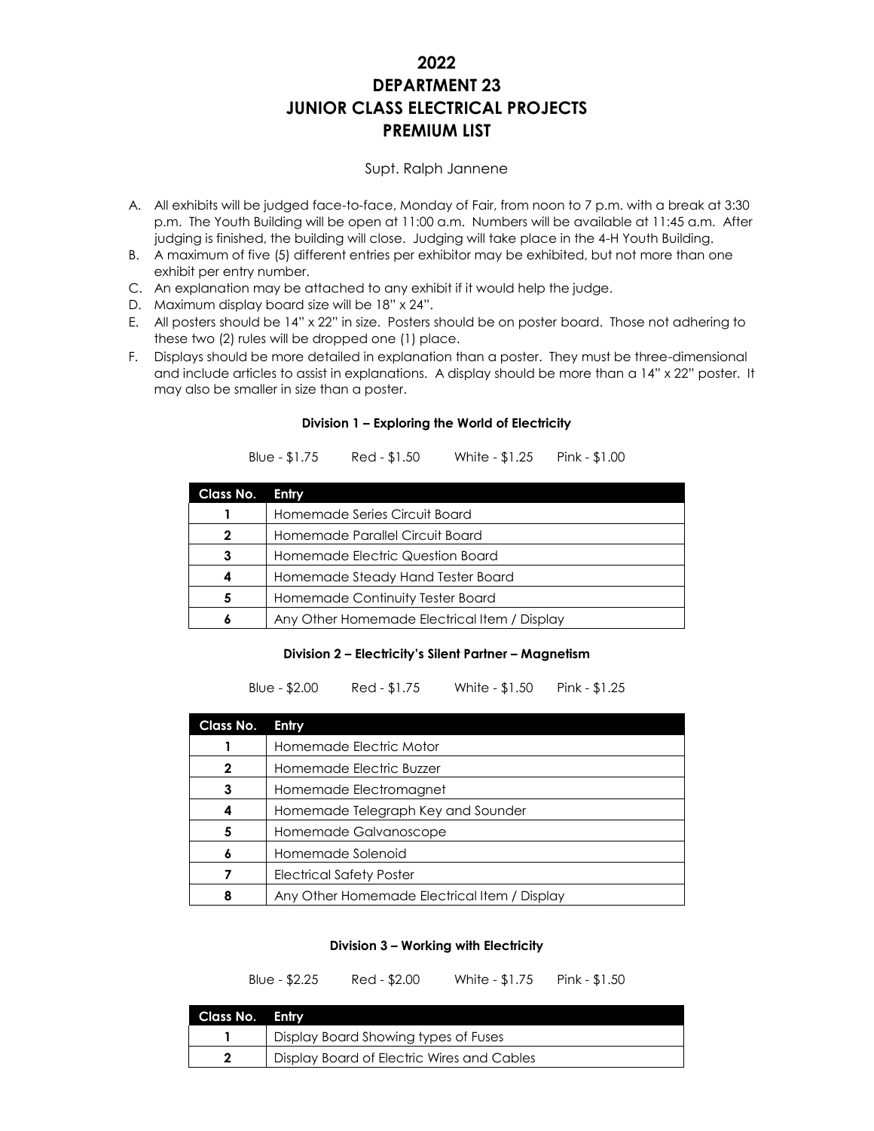# **2022 DEPARTMENT 23 JUNIOR CLASS ELECTRICAL PROJECTS PREMIUM LIST**

## Supt. Ralph Jannene

- A. All exhibits will be judged face-to-face, Monday of Fair, from noon to 7 p.m. with a break at 3:30 p.m. The Youth Building will be open at 11:00 a.m. Numbers will be available at 11:45 a.m. After judging is finished, the building will close. Judging will take place in the 4-H Youth Building.
- B. A maximum of five (5) different entries per exhibitor may be exhibited, but not more than one exhibit per entry number.
- C. An explanation may be attached to any exhibit if it would help the judge.
- D. Maximum display board size will be 18" x 24".
- E. All posters should be 14" x 22" in size. Posters should be on poster board. Those not adhering to these two (2) rules will be dropped one (1) place.
- F. Displays should be more detailed in explanation than a poster. They must be three-dimensional and include articles to assist in explanations. A display should be more than a 14" x 22" poster. It may also be smaller in size than a poster.

### **Division 1 – Exploring the World of Electricity**

Blue - \$1.75 Red - \$1.50 White - \$1.25 Pink - \$1.00

| Class No. | Entry                                        |
|-----------|----------------------------------------------|
|           | Homemade Series Circuit Board                |
| 2         | Homemade Parallel Circuit Board              |
|           | Homemade Electric Question Board             |
|           | Homemade Steady Hand Tester Board            |
|           | Homemade Continuity Tester Board             |
|           | Any Other Homemade Electrical Item / Display |

#### **Division 2 – Electricity's Silent Partner – Magnetism**

Blue - \$2.00 Red - \$1.75 White - \$1.50 Pink - \$1.25

| Class No. | Entry                                        |
|-----------|----------------------------------------------|
|           | Homemade Electric Motor                      |
|           | Homemade Electric Buzzer                     |
|           | Homemade Electromagnet                       |
|           | Homemade Telegraph Key and Sounder           |
| 5         | Homemade Galvanoscope                        |
|           | Homemade Solenoid                            |
|           | <b>Electrical Safety Poster</b>              |
|           | Any Other Homemade Electrical Item / Display |

#### **Division 3 – Working with Electricity**

Blue - \$2.25 Red - \$2.00 White - \$1.75 Pink - \$1.50

| Class No. Entry |                                            |
|-----------------|--------------------------------------------|
|                 | Display Board Showing types of Fuses       |
|                 | Display Board of Electric Wires and Cables |